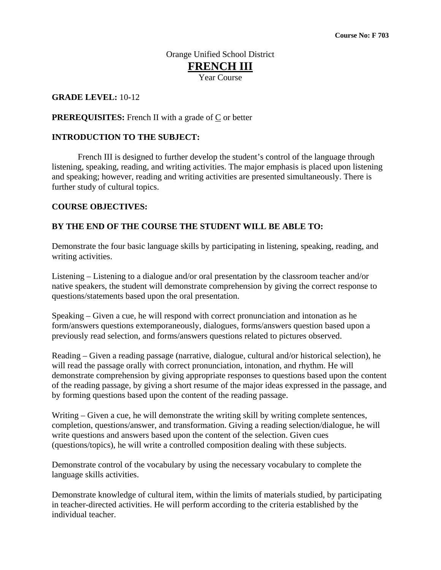#### Orange Unified School District **FRENCH III** Year Course

#### **GRADE LEVEL:** 10**-**12

#### **PREREQUISITES:** French II with a grade of C or better

#### **INTRODUCTION TO THE SUBJECT:**

 French III is designed to further develop the student's control of the language through listening, speaking, reading, and writing activities. The major emphasis is placed upon listening and speaking; however, reading and writing activities are presented simultaneously. There is further study of cultural topics.

#### **COURSE OBJECTIVES:**

#### **BY THE END OF THE COURSE THE STUDENT WILL BE ABLE TO:**

Demonstrate the four basic language skills by participating in listening, speaking, reading, and writing activities.

Listening – Listening to a dialogue and/or oral presentation by the classroom teacher and/or native speakers, the student will demonstrate comprehension by giving the correct response to questions/statements based upon the oral presentation.

Speaking – Given a cue, he will respond with correct pronunciation and intonation as he form/answers questions extemporaneously, dialogues, forms/answers question based upon a previously read selection, and forms/answers questions related to pictures observed.

Reading – Given a reading passage (narrative, dialogue, cultural and/or historical selection), he will read the passage orally with correct pronunciation, intonation, and rhythm. He will demonstrate comprehension by giving appropriate responses to questions based upon the content of the reading passage, by giving a short resume of the major ideas expressed in the passage, and by forming questions based upon the content of the reading passage.

Writing – Given a cue, he will demonstrate the writing skill by writing complete sentences, completion, questions/answer, and transformation. Giving a reading selection/dialogue, he will write questions and answers based upon the content of the selection. Given cues (questions/topics), he will write a controlled composition dealing with these subjects.

Demonstrate control of the vocabulary by using the necessary vocabulary to complete the language skills activities.

Demonstrate knowledge of cultural item, within the limits of materials studied, by participating in teacher-directed activities. He will perform according to the criteria established by the individual teacher.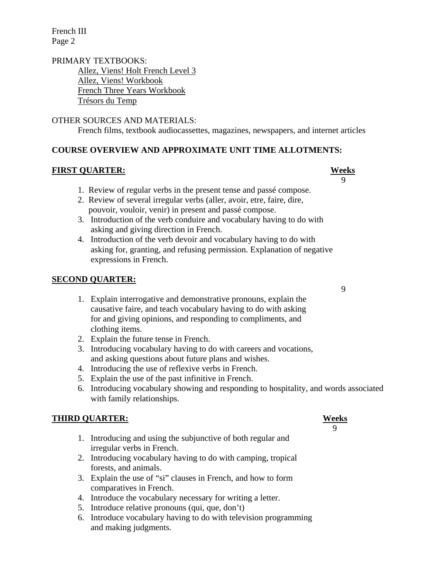French III Page 2

#### PRIMARY TEXTBOOKS: Allez, Viens! Holt French Level 3 Allez, Viens! Workbook French Three Years Workbook Trésors du Temp

#### OTHER SOURCES AND MATERIALS:

French films, textbook audiocassettes, magazines, newspapers, and internet articles

#### **COURSE OVERVIEW AND APPROXIMATE UNIT TIME ALLOTMENTS:**

#### **FIRST QUARTER: Weeks**

- 1. Review of regular verbs in the present tense and passé compose.
- 2. Review of several irregular verbs (aller, avoir, etre, faire, dire, pouvoir, vouloir, venir) in present and passé compose.
- 3. Introduction of the verb conduire and vocabulary having to do with asking and giving direction in French.
- 4. Introduction of the verb devoir and vocabulary having to do with asking for, granting, and refusing permission. Explanation of negative expressions in French.

#### **SECOND QUARTER:**

- 1. Explain interrogative and demonstrative pronouns, explain the causative faire, and teach vocabulary having to do with asking for and giving opinions, and responding to compliments, and clothing items.
- 2. Explain the future tense in French.
- 3. Introducing vocabulary having to do with careers and vocations, and asking questions about future plans and wishes.
- 4. Introducing the use of reflexive verbs in French.
- 5. Explain the use of the past infinitive in French.
- 6. Introducing vocabulary showing and responding to hospitality, and words associated with family relationships.

#### **THIRD QUARTER: Weeks**

- 1. Introducing and using the subjunctive of both regular and irregular verbs in French.
- 2. Introducing vocabulary having to do with camping, tropical forests, and animals.
- 3. Explain the use of "si" clauses in French, and how to form comparatives in French.
- 4. Introduce the vocabulary necessary for writing a letter.
- 5. Introduce relative pronouns (qui, que, don't)
- 6. Introduce vocabulary having to do with television programming and making judgments.

# 9

## 9

9